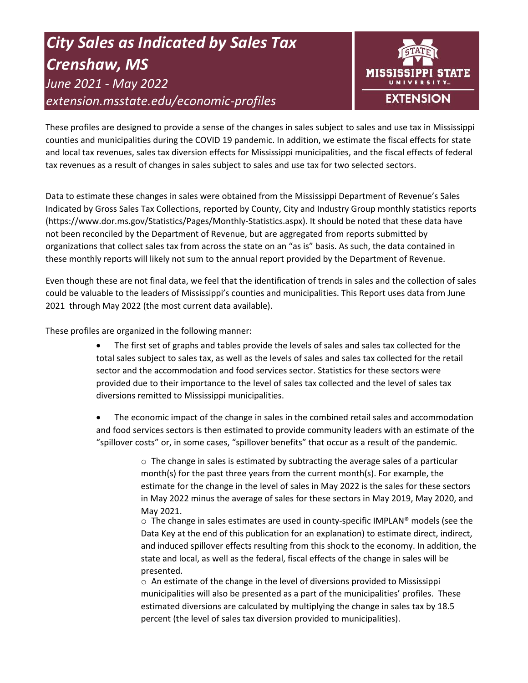# *City Sales as Indicated by Sales Tax Crenshaw, MS June 2021 - May 2022 extension.msstate.edu/economic-profiles*



These profiles are designed to provide a sense of the changes in sales subject to sales and use tax in Mississippi counties and municipalities during the COVID 19 pandemic. In addition, we estimate the fiscal effects for state and local tax revenues, sales tax diversion effects for Mississippi municipalities, and the fiscal effects of federal tax revenues as a result of changes in sales subject to sales and use tax for two selected sectors.

Data to estimate these changes in sales were obtained from the Mississippi Department of Revenue's Sales Indicated by Gross Sales Tax Collections, reported by County, City and Industry Group monthly statistics reports (https://www.dor.ms.gov/Statistics/Pages/Monthly-Statistics.aspx). It should be noted that these data have not been reconciled by the Department of Revenue, but are aggregated from reports submitted by organizations that collect sales tax from across the state on an "as is" basis. As such, the data contained in these monthly reports will likely not sum to the annual report provided by the Department of Revenue.

Even though these are not final data, we feel that the identification of trends in sales and the collection of sales could be valuable to the leaders of Mississippi's counties and municipalities. This Report uses data from June 2021 through May 2022 (the most current data available).

These profiles are organized in the following manner:

- The first set of graphs and tables provide the levels of sales and sales tax collected for the total sales subject to sales tax, as well as the levels of sales and sales tax collected for the retail sector and the accommodation and food services sector. Statistics for these sectors were provided due to their importance to the level of sales tax collected and the level of sales tax diversions remitted to Mississippi municipalities.
- The economic impact of the change in sales in the combined retail sales and accommodation and food services sectors is then estimated to provide community leaders with an estimate of the "spillover costs" or, in some cases, "spillover benefits" that occur as a result of the pandemic.

 $\circ$  The change in sales is estimated by subtracting the average sales of a particular month(s) for the past three years from the current month(s). For example, the estimate for the change in the level of sales in May 2022 is the sales for these sectors in May 2022 minus the average of sales for these sectors in May 2019, May 2020, and May 2021.

 $\circ$  The change in sales estimates are used in county-specific IMPLAN® models (see the Data Key at the end of this publication for an explanation) to estimate direct, indirect, and induced spillover effects resulting from this shock to the economy. In addition, the state and local, as well as the federal, fiscal effects of the change in sales will be presented.

 $\circ$  An estimate of the change in the level of diversions provided to Mississippi municipalities will also be presented as a part of the municipalities' profiles. These estimated diversions are calculated by multiplying the change in sales tax by 18.5 percent (the level of sales tax diversion provided to municipalities).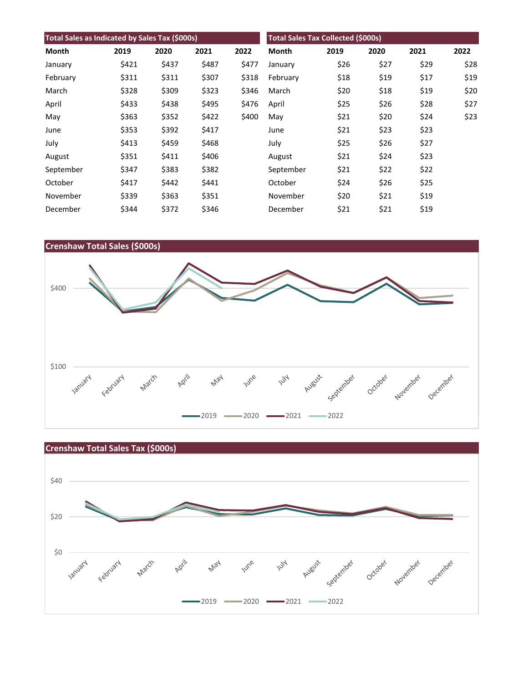| Total Sales as Indicated by Sales Tax (\$000s) |       |       |       |       | <b>Total Sales Tax Collected (\$000s)</b> |      |      |      |      |
|------------------------------------------------|-------|-------|-------|-------|-------------------------------------------|------|------|------|------|
| Month                                          | 2019  | 2020  | 2021  | 2022  | <b>Month</b>                              | 2019 | 2020 | 2021 | 2022 |
| January                                        | \$421 | \$437 | \$487 | \$477 | January                                   | \$26 | \$27 | \$29 | \$28 |
| February                                       | \$311 | \$311 | \$307 | \$318 | February                                  | \$18 | \$19 | \$17 | \$19 |
| March                                          | \$328 | \$309 | \$323 | \$346 | March                                     | \$20 | \$18 | \$19 | \$20 |
| April                                          | \$433 | \$438 | \$495 | \$476 | April                                     | \$25 | \$26 | \$28 | \$27 |
| May                                            | \$363 | \$352 | \$422 | \$400 | May                                       | \$21 | \$20 | \$24 | \$23 |
| June                                           | \$353 | \$392 | \$417 |       | June                                      | \$21 | \$23 | \$23 |      |
| July                                           | \$413 | \$459 | \$468 |       | July                                      | \$25 | \$26 | \$27 |      |
| August                                         | \$351 | \$411 | \$406 |       | August                                    | \$21 | \$24 | \$23 |      |
| September                                      | \$347 | \$383 | \$382 |       | September                                 | \$21 | \$22 | \$22 |      |
| October                                        | \$417 | \$442 | \$441 |       | October                                   | \$24 | \$26 | \$25 |      |
| November                                       | \$339 | \$363 | \$351 |       | November                                  | \$20 | \$21 | \$19 |      |
| December                                       | \$344 | \$372 | \$346 |       | December                                  | \$21 | \$21 | \$19 |      |



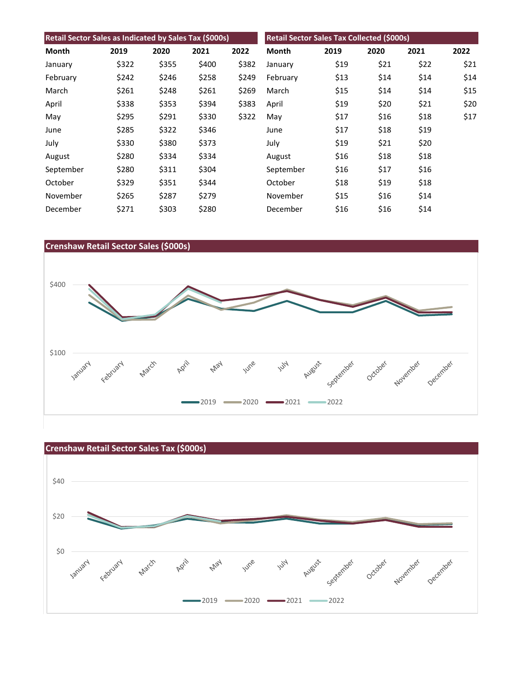| Retail Sector Sales as Indicated by Sales Tax (\$000s) |       |       |       |       | Retail Sector Sales Tax Collected (\$000s) |      |      |      |      |
|--------------------------------------------------------|-------|-------|-------|-------|--------------------------------------------|------|------|------|------|
| Month                                                  | 2019  | 2020  | 2021  | 2022  | Month                                      | 2019 | 2020 | 2021 | 2022 |
| January                                                | \$322 | \$355 | \$400 | \$382 | January                                    | \$19 | \$21 | \$22 | \$21 |
| February                                               | \$242 | \$246 | \$258 | \$249 | February                                   | \$13 | \$14 | \$14 | \$14 |
| March                                                  | \$261 | \$248 | \$261 | \$269 | March                                      | \$15 | \$14 | \$14 | \$15 |
| April                                                  | \$338 | \$353 | \$394 | \$383 | April                                      | \$19 | \$20 | \$21 | \$20 |
| May                                                    | \$295 | \$291 | \$330 | \$322 | May                                        | \$17 | \$16 | \$18 | \$17 |
| June                                                   | \$285 | \$322 | \$346 |       | June                                       | \$17 | \$18 | \$19 |      |
| July                                                   | \$330 | \$380 | \$373 |       | July                                       | \$19 | \$21 | \$20 |      |
| August                                                 | \$280 | \$334 | \$334 |       | August                                     | \$16 | \$18 | \$18 |      |
| September                                              | \$280 | \$311 | \$304 |       | September                                  | \$16 | \$17 | \$16 |      |
| October                                                | \$329 | \$351 | \$344 |       | October                                    | \$18 | \$19 | \$18 |      |
| November                                               | \$265 | \$287 | \$279 |       | November                                   | \$15 | \$16 | \$14 |      |
| December                                               | \$271 | \$303 | \$280 |       | December                                   | \$16 | \$16 | \$14 |      |





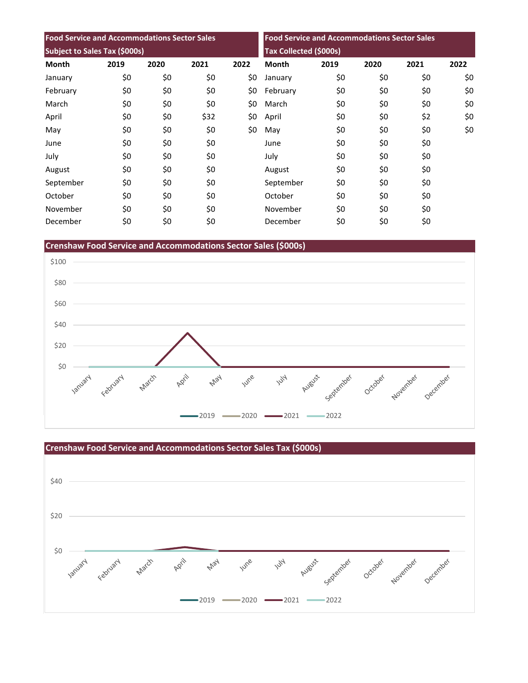| <b>Food Service and Accommodations Sector Sales</b> |      |      |      | <b>Food Service and Accommodations Sector Sales</b><br>Tax Collected (\$000s) |              |      |      |      |      |
|-----------------------------------------------------|------|------|------|-------------------------------------------------------------------------------|--------------|------|------|------|------|
| Subject to Sales Tax (\$000s)                       |      |      |      |                                                                               |              |      |      |      |      |
| <b>Month</b>                                        | 2019 | 2020 | 2021 | 2022                                                                          | <b>Month</b> | 2019 | 2020 | 2021 | 2022 |
| January                                             | \$0  | \$0  | \$0  | \$0                                                                           | January      | \$0  | \$0  | \$0  | \$0  |
| February                                            | \$0  | \$0  | \$0  | \$0                                                                           | February     | \$0  | \$0  | \$0  | \$0  |
| March                                               | \$0  | \$0  | \$0  | \$0                                                                           | March        | \$0  | \$0  | \$0  | \$0  |
| April                                               | \$0  | \$0  | \$32 | \$0                                                                           | April        | \$0  | \$0  | \$2  | \$0  |
| May                                                 | \$0  | \$0  | \$0  | \$0                                                                           | May          | \$0  | \$0  | \$0  | \$0  |
| June                                                | \$0  | \$0  | \$0  |                                                                               | June         | \$0  | \$0  | \$0  |      |
| July                                                | \$0  | \$0  | \$0  |                                                                               | July         | \$0  | \$0  | \$0  |      |
| August                                              | \$0  | \$0  | \$0  |                                                                               | August       | \$0  | \$0  | \$0  |      |
| September                                           | \$0  | \$0  | \$0  |                                                                               | September    | \$0  | \$0  | \$0  |      |
| October                                             | \$0  | \$0  | \$0  |                                                                               | October      | \$0  | \$0  | \$0  |      |
| November                                            | \$0  | \$0  | \$0  |                                                                               | November     | \$0  | \$0  | \$0  |      |
| December                                            | \$0  | \$0  | \$0  |                                                                               | December     | \$0  | \$0  | \$0  |      |

**Crenshaw Food Service and Accommodations Sector Sales (\$000s)**



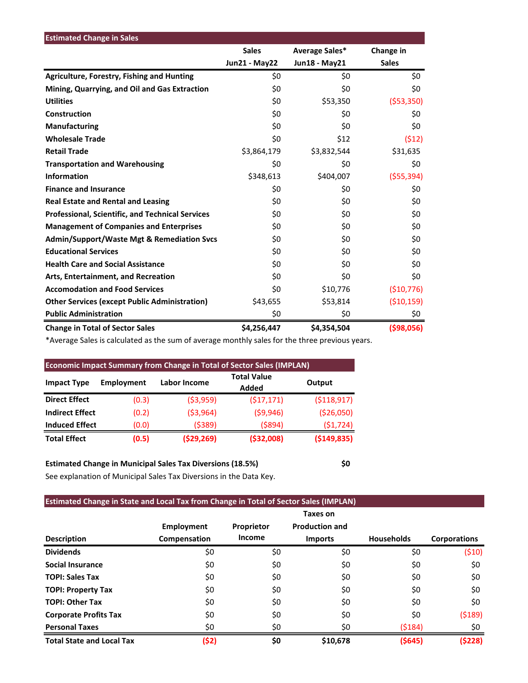| <b>Estimated Change in Sales</b>                      |                      |                |              |
|-------------------------------------------------------|----------------------|----------------|--------------|
|                                                       | <b>Sales</b>         | Average Sales* | Change in    |
|                                                       | <b>Jun21 - May22</b> | Jun18 - May21  | <b>Sales</b> |
| <b>Agriculture, Forestry, Fishing and Hunting</b>     | \$0                  | \$0            | \$0          |
| Mining, Quarrying, and Oil and Gas Extraction         | \$0                  | \$0            | \$0          |
| <b>Utilities</b>                                      | \$0                  | \$53,350       | (553,350)    |
| Construction                                          | \$0                  | \$0            | \$0          |
| <b>Manufacturing</b>                                  | \$0                  | \$0            | \$0          |
| <b>Wholesale Trade</b>                                | \$0                  | \$12           | (512)        |
| <b>Retail Trade</b>                                   | \$3,864,179          | \$3,832,544    | \$31,635     |
| <b>Transportation and Warehousing</b>                 | \$0                  | \$0            | \$0          |
| <b>Information</b>                                    | \$348,613            | \$404,007      | (555, 394)   |
| <b>Finance and Insurance</b>                          | \$0                  | \$0            | \$0          |
| <b>Real Estate and Rental and Leasing</b>             | \$0                  | \$0            | \$0          |
| Professional, Scientific, and Technical Services      | \$0                  | \$0            | \$0          |
| <b>Management of Companies and Enterprises</b>        | \$0                  | \$0            | \$0          |
| <b>Admin/Support/Waste Mgt &amp; Remediation Svcs</b> | \$0                  | \$0            | \$0          |
| <b>Educational Services</b>                           | \$0                  | \$0            | \$0          |
| <b>Health Care and Social Assistance</b>              | \$0                  | \$0            | \$0          |
| Arts, Entertainment, and Recreation                   | \$0                  | \$0            | \$0          |
| <b>Accomodation and Food Services</b>                 | \$0                  | \$10,776       | (\$10,776)   |
| <b>Other Services (except Public Administration)</b>  | \$43,655             | \$53,814       | ( \$10, 159) |
| <b>Public Administration</b>                          | \$0                  | \$0            | \$0          |
| <b>Change in Total of Sector Sales</b>                | \$4,256,447          | \$4,354,504    | ( \$98,056)  |

\*Average Sales is calculated as the sum of average monthly sales for the three previous years.

| <b>Economic Impact Summary from Change in Total of Sector Sales (IMPLAN)</b> |                   |              |                             |               |  |  |  |  |
|------------------------------------------------------------------------------|-------------------|--------------|-----------------------------|---------------|--|--|--|--|
| <b>Impact Type</b>                                                           | <b>Employment</b> | Labor Income | <b>Total Value</b><br>Added | Output        |  |  |  |  |
| <b>Direct Effect</b>                                                         | (0.3)             | ( \$3,959)   | (517, 171)                  | ( \$118, 917) |  |  |  |  |
| <b>Indirect Effect</b>                                                       | (0.2)             | ( \$3,964)   | (59, 946)                   | ( \$26,050)   |  |  |  |  |
| <b>Induced Effect</b>                                                        | (0.0)             | (5389)       | ( \$894)                    | (51, 724)     |  |  |  |  |
| <b>Total Effect</b>                                                          | (0.5)             | ( \$29, 269) | ( \$32,008)                 | ( \$149, 835) |  |  |  |  |

## **Estimated Change in Municipal Sales Tax Diversions (18.5%) \$0**

See explanation of Municipal Sales Tax Diversions in the Data Key.

### **Estimated Change in State and Local Tax from Change in Total of Sector Sales (IMPLAN)**

|                                  | <b>Employment</b> | Proprietor | Taxes on<br><b>Production and</b> |                   |                     |
|----------------------------------|-------------------|------------|-----------------------------------|-------------------|---------------------|
| <b>Description</b>               | Compensation      | Income     | <b>Imports</b>                    | <b>Households</b> | <b>Corporations</b> |
| <b>Dividends</b>                 | \$0               | \$0        | \$0                               | \$0               | (510)               |
| <b>Social Insurance</b>          | \$0               | \$0        | \$0                               | \$0               | \$0                 |
| <b>TOPI: Sales Tax</b>           | \$0               | \$0        | \$0                               | \$0               | \$0                 |
| <b>TOPI: Property Tax</b>        | \$0               | \$0        | \$0                               | \$0               | \$0                 |
| <b>TOPI: Other Tax</b>           | \$0               | \$0        | \$0                               | \$0               | \$0                 |
| <b>Corporate Profits Tax</b>     | \$0               | \$0        | \$0                               | \$0               | (5189)              |
| <b>Personal Taxes</b>            | \$0               | \$0        | \$0                               | (5184)            | \$0                 |
| <b>Total State and Local Tax</b> | (\$2)             | \$0        | \$10,678                          | (5645)            | (5228)              |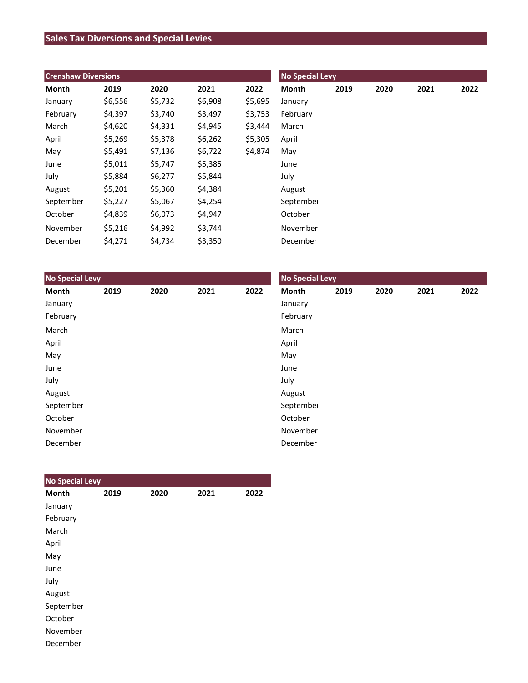## **Sales Tax Diversions and Special Levies**

| <b>Crenshaw Diversions</b> |         |         |         |         | <b>No Special Levy</b> |      |      |      |      |  |
|----------------------------|---------|---------|---------|---------|------------------------|------|------|------|------|--|
| Month                      | 2019    | 2020    | 2021    | 2022    | Month                  | 2019 | 2020 | 2021 | 2022 |  |
| January                    | \$6,556 | \$5,732 | \$6,908 | \$5,695 | January                |      |      |      |      |  |
| February                   | \$4,397 | \$3,740 | \$3,497 | \$3,753 | February               |      |      |      |      |  |
| March                      | \$4,620 | \$4,331 | \$4,945 | \$3,444 | March                  |      |      |      |      |  |
| April                      | \$5,269 | \$5,378 | \$6,262 | \$5,305 | April                  |      |      |      |      |  |
| May                        | \$5,491 | \$7,136 | \$6,722 | \$4,874 | May                    |      |      |      |      |  |
| June                       | \$5,011 | \$5,747 | \$5,385 |         | June                   |      |      |      |      |  |
| July                       | \$5,884 | \$6,277 | \$5,844 |         | July                   |      |      |      |      |  |
| August                     | \$5,201 | \$5,360 | \$4,384 |         | August                 |      |      |      |      |  |
| September                  | \$5,227 | \$5,067 | \$4,254 |         | September              |      |      |      |      |  |
| October                    | \$4,839 | \$6,073 | \$4,947 |         | October                |      |      |      |      |  |
| November                   | \$5,216 | \$4,992 | \$3,744 |         | November               |      |      |      |      |  |
| December                   | \$4,271 | \$4,734 | \$3,350 |         | December               |      |      |      |      |  |

| <b>No Special Levy</b> |      |      |      |      | <b>No Special Levy</b> |      |      |      |      |  |
|------------------------|------|------|------|------|------------------------|------|------|------|------|--|
| Month                  | 2019 | 2020 | 2021 | 2022 | Month                  | 2019 | 2020 | 2021 | 2022 |  |
| January                |      |      |      |      | January                |      |      |      |      |  |
| February               |      |      |      |      | February               |      |      |      |      |  |
| March                  |      |      |      |      | March                  |      |      |      |      |  |
| April                  |      |      |      |      | April                  |      |      |      |      |  |
| May                    |      |      |      |      | May                    |      |      |      |      |  |
| June                   |      |      |      |      | June                   |      |      |      |      |  |
| July                   |      |      |      |      | July                   |      |      |      |      |  |
| August                 |      |      |      |      | August                 |      |      |      |      |  |
| September              |      |      |      |      | September              |      |      |      |      |  |
| October                |      |      |      |      | October                |      |      |      |      |  |
| November               |      |      |      |      | November               |      |      |      |      |  |
| December               |      |      |      |      | December               |      |      |      |      |  |

| <b>No Special Levy</b> |      |      |      |      |
|------------------------|------|------|------|------|
| <b>Month</b>           | 2019 | 2020 | 2021 | 2022 |
| January                |      |      |      |      |
| February               |      |      |      |      |
| March                  |      |      |      |      |
| April                  |      |      |      |      |
| May                    |      |      |      |      |
| June                   |      |      |      |      |
| July                   |      |      |      |      |
| August                 |      |      |      |      |
| September              |      |      |      |      |
| October                |      |      |      |      |
| November               |      |      |      |      |
| December               |      |      |      |      |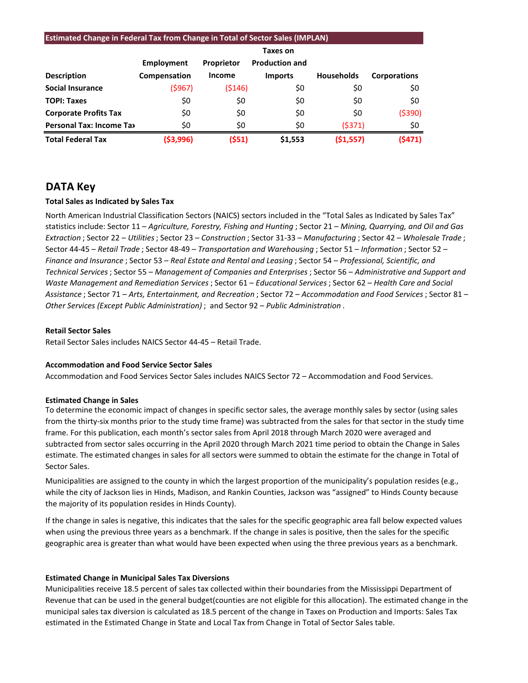| <b>Estimated Change in Federal Tax from Change in Total of Sector Sales (IMPLAN)</b> |              |                   |                       |                   |                     |  |  |  |  |
|--------------------------------------------------------------------------------------|--------------|-------------------|-----------------------|-------------------|---------------------|--|--|--|--|
|                                                                                      | Taxes on     |                   |                       |                   |                     |  |  |  |  |
|                                                                                      | Employment   | <b>Proprietor</b> | <b>Production and</b> |                   |                     |  |  |  |  |
| <b>Description</b>                                                                   | Compensation | <b>Income</b>     | <b>Imports</b>        | <b>Households</b> | <b>Corporations</b> |  |  |  |  |
| <b>Social Insurance</b>                                                              | (\$967)      | (\$146)           | \$0                   | \$0               | \$0                 |  |  |  |  |
| <b>TOPI: Taxes</b>                                                                   | \$0          | \$0               | \$0                   | \$0               | \$0                 |  |  |  |  |
| <b>Corporate Profits Tax</b>                                                         | \$0          | \$0               | \$0                   | \$0               | ( \$390)            |  |  |  |  |
| <b>Personal Tax: Income Tax</b>                                                      | \$0          | \$0               | \$0                   | (\$371)           | \$0                 |  |  |  |  |
| <b>Total Federal Tax</b>                                                             | ( \$3,996)   | (551)             | \$1,553               | (51, 557)         | (5471)              |  |  |  |  |

## **DATA Key**

### **Total Sales as Indicated by Sales Tax**

North American Industrial Classification Sectors (NAICS) sectors included in the "Total Sales as Indicated by Sales Tax" statistics include: Sector 11 – *Agriculture, Forestry, Fishing and Hunting* ; Sector 21 – *Mining, Quarrying, and Oil and Gas Extraction* ; Sector 22 – *Utilities*; Sector 23 – *Construction* ; Sector 31-33 – *Manufacturing* ; Sector 42 – *Wholesale Trade* ; Sector 44-45 – *Retail Trade* ; Sector 48-49 – *Transportation and Warehousing* ; Sector 51 – *Information* ; Sector 52 – *Finance and Insurance* ; Sector 53 – *Real Estate and Rental and Leasing* ; Sector 54 – *Professional, Scientific, and Technical Services*; Sector 55 – *Management of Companies and Enterprises* ; Sector 56 – *Administrative and Support and Waste Management and Remediation Services* ; Sector 61 – *Educational Services*; Sector 62 – *Health Care and Social Assistance* ; Sector 71 – *Arts, Entertainment, and Recreation* ; Sector 72 – *Accommodation and Food Services* ; Sector 81 – *Other Services (Except Public Administration)* ; and Sector 92 – *Public Administration* .

#### **Retail Sector Sales**

Retail Sector Sales includes NAICS Sector 44-45 – Retail Trade.

#### **Accommodation and Food Service Sector Sales**

Accommodation and Food Services Sector Sales includes NAICS Sector 72 – Accommodation and Food Services.

#### **Estimated Change in Sales**

To determine the economic impact of changes in specific sector sales, the average monthly sales by sector (using sales from the thirty-six months prior to the study time frame) was subtracted from the sales for that sector in the study time frame. For this publication, each month's sector sales from April 2018 through March 2020 were averaged and subtracted from sector sales occurring in the April 2020 through March 2021 time period to obtain the Change in Sales estimate. The estimated changes in sales for all sectors were summed to obtain the estimate for the change in Total of Sector Sales.

Municipalities are assigned to the county in which the largest proportion of the municipality's population resides (e.g., while the city of Jackson lies in Hinds, Madison, and Rankin Counties, Jackson was "assigned" to Hinds County because the majority of its population resides in Hinds County).

If the change in sales is negative, this indicates that the sales for the specific geographic area fall below expected values when using the previous three years as a benchmark. If the change in sales is positive, then the sales for the specific geographic area is greater than what would have been expected when using the three previous years as a benchmark.

#### **Estimated Change in Municipal Sales Tax Diversions**

Municipalities receive 18.5 percent of sales tax collected within their boundaries from the Mississippi Department of Revenue that can be used in the general budget(counties are not eligible for this allocation). The estimated change in the municipal sales tax diversion is calculated as 18.5 percent of the change in Taxes on Production and Imports: Sales Tax estimated in the Estimated Change in State and Local Tax from Change in Total of Sector Sales table.